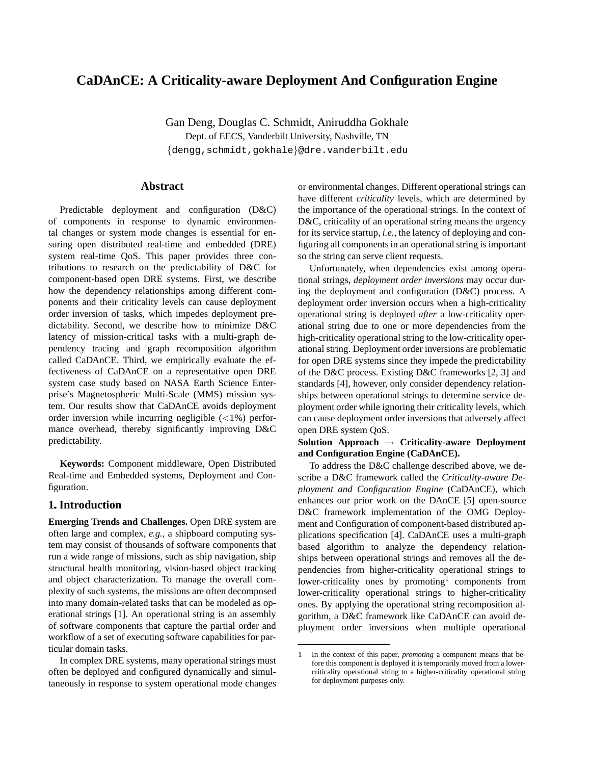# **CaDAnCE: A Criticality-aware Deployment And Configuration Engine**

Gan Deng, Douglas C. Schmidt, Aniruddha Gokhale Dept. of EECS, Vanderbilt University, Nashville, TN {dengg,schmidt,gokhale}@dre.vanderbilt.edu

## **Abstract**

Predictable deployment and configuration (D&C) of components in response to dynamic environmental changes or system mode changes is essential for ensuring open distributed real-time and embedded (DRE) system real-time QoS. This paper provides three contributions to research on the predictability of D&C for component-based open DRE systems. First, we describe how the dependency relationships among different components and their criticality levels can cause deployment order inversion of tasks, which impedes deployment predictability. Second, we describe how to minimize D&C latency of mission-critical tasks with a multi-graph dependency tracing and graph recomposition algorithm called CaDAnCE. Third, we empirically evaluate the effectiveness of CaDAnCE on a representative open DRE system case study based on NASA Earth Science Enterprise's Magnetospheric Multi-Scale (MMS) mission system. Our results show that CaDAnCE avoids deployment order inversion while incurring negligible  $\left( \langle 1\% \rangle \right)$  performance overhead, thereby significantly improving D&C predictability.

**Keywords:** Component middleware, Open Distributed Real-time and Embedded systems, Deployment and Configuration.

### **1.Introduction**

**Emerging Trends and Challenges.** Open DRE system are often large and complex, *e.g.*, a shipboard computing system may consist of thousands of software components that run a wide range of missions, such as ship navigation, ship structural health monitoring, vision-based object tracking and object characterization. To manage the overall complexity of such systems, the missions are often decomposed into many domain-related tasks that can be modeled as operational strings [1]. An operational string is an assembly of software components that capture the partial order and workflow of a set of executing software capabilities for particular domain tasks.

In complex DRE systems, many operational strings must often be deployed and configured dynamically and simultaneously in response to system operational mode changes or environmental changes. Different operational strings can have different *criticality* levels, which are determined by the importance of the operational strings. In the context of D&C, criticality of an operational string means the urgency for its service startup, *i.e.*, the latency of deploying and configuring all components in an operational string is important so the string can serve client requests.

Unfortunately, when dependencies exist among operational strings, *deployment order inversions* may occur during the deployment and configuration (D&C) process. A deployment order inversion occurs when a high-criticality operational string is deployed *after* a low-criticality operational string due to one or more dependencies from the high-criticality operational string to the low-criticality operational string. Deployment order inversions are problematic for open DRE systems since they impede the predictability of the D&C process. Existing D&C frameworks [2, 3] and standards [4], however, only consider dependency relationships between operational strings to determine service deployment order while ignoring their criticality levels, which can cause deployment order inversions that adversely affect open DRE system QoS.

#### **Solution Approach** → **Criticality-aware Deployment and Configuration Engine (CaDAnCE).**

To address the D&C challenge described above, we describe a D&C framework called the *Criticality-aware Deployment and Configuration Engine* (CaDAnCE), which enhances our prior work on the DAnCE [5] open-source D&C framework implementation of the OMG Deployment and Configuration of component-based distributed applications specification [4]. CaDAnCE uses a multi-graph based algorithm to analyze the dependency relationships between operational strings and removes all the dependencies from higher-criticality operational strings to lower-criticality ones by promoting<sup>1</sup> components from lower-criticality operational strings to higher-criticality ones. By applying the operational string recomposition algorithm, a D&C framework like CaDAnCE can avoid deployment order inversions when multiple operational

<sup>1</sup> In the context of this paper, *promoting* a component means that before this component is deployed it is temporarily moved from a lowercriticality operational string to a higher-criticality operational string for deployment purposes only.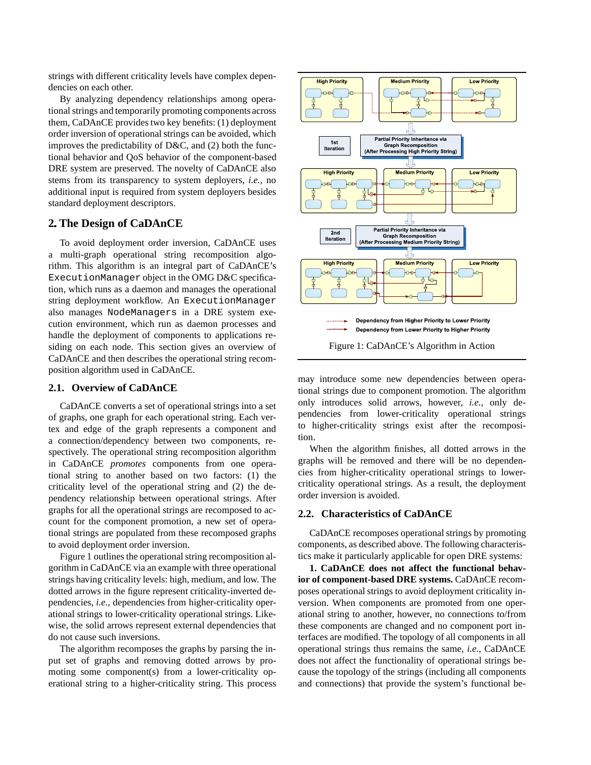strings with different criticality levels have complex dependencies on each other.

By analyzing dependency relationships among operational strings and temporarily promoting components across them, CaDAnCE provides two key benefits: (1) deployment order inversion of operational strings can be avoided, which improves the predictability of D&C, and (2) both the functional behavior and QoS behavior of the component-based DRE system are preserved. The novelty of CaDAnCE also stems from its transparency to system deployers, *i.e.*, no additional input is required from system deployers besides standard deployment descriptors.

#### **2. The Design of CaDAnCE**

To avoid deployment order inversion, CaDAnCE uses a multi-graph operational string recomposition algorithm. This algorithm is an integral part of CaDAnCE's ExecutionManager object in the OMG D&C specification, which runs as a daemon and manages the operational string deployment workflow. An ExecutionManager also manages NodeManagers in a DRE system execution environment, which run as daemon processes and handle the deployment of components to applications residing on each node. This section gives an overview of CaDAnCE and then describes the operational string recomposition algorithm used in CaDAnCE.

#### **2.1. Overview of CaDAnCE**

CaDAnCE converts a set of operational strings into a set of graphs, one graph for each operational string. Each vertex and edge of the graph represents a component and a connection/dependency between two components, respectively. The operational string recomposition algorithm in CaDAnCE *promotes* components from one operational string to another based on two factors: (1) the criticality level of the operational string and (2) the dependency relationship between operational strings. After graphs for all the operational strings are recomposed to account for the component promotion, a new set of operational strings are populated from these recomposed graphs to avoid deployment order inversion.

Figure 1 outlines the operational string recomposition algorithm in CaDAnCE via an example with three operational strings having criticality levels: high, medium, and low. The dotted arrows in the figure represent criticality-inverted dependencies, *i.e.*, dependencies from higher-criticality operational strings to lower-criticality operational strings. Likewise, the solid arrows represent external dependencies that do not cause such inversions.

The algorithm recomposes the graphs by parsing the input set of graphs and removing dotted arrows by promoting some component(s) from a lower-criticality operational string to a higher-criticality string. This process



may introduce some new dependencies between operational strings due to component promotion. The algorithm only introduces solid arrows, however, *i.e.*, only dependencies from lower-criticality operational strings to higher-criticality strings exist after the recomposition.

When the algorithm finishes, all dotted arrows in the graphs will be removed and there will be no dependencies from higher-criticality operational strings to lowercriticality operational strings. As a result, the deployment order inversion is avoided.

#### **2.2. Characteristics of CaDAnCE**

CaDAnCE recomposes operational strings by promoting components, as described above. The following characteristics make it particularly applicable for open DRE systems:

**1. CaDAnCE does not affect the functional behavior of component-based DRE systems.** CaDAnCE recomposes operational strings to avoid deployment criticality inversion. When components are promoted from one operational string to another, however, no connections to/from these components are changed and no component port interfaces are modified. The topology of all components in all operational strings thus remains the same, *i.e.*, CaDAnCE does not affect the functionality of operational strings because the topology of the strings (including all components and connections) that provide the system's functional be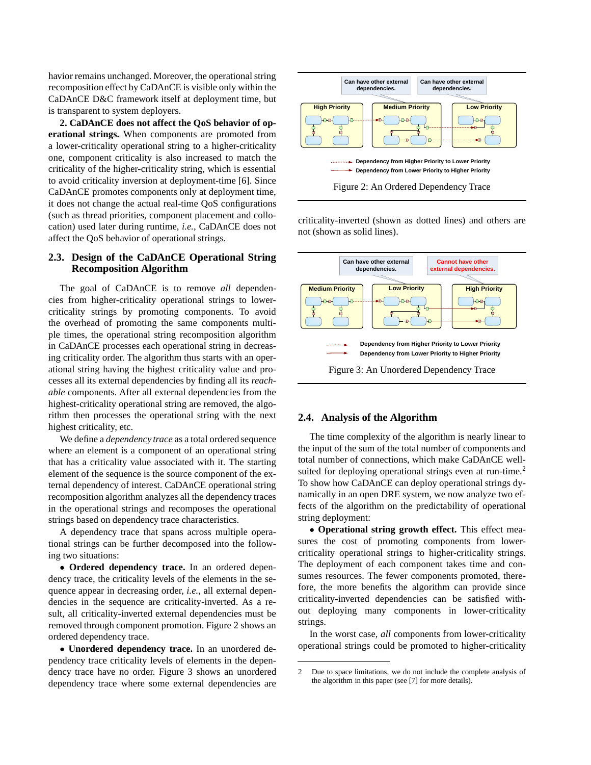havior remains unchanged. Moreover, the operational string recomposition effect by CaDAnCE is visible only within the CaDAnCE D&C framework itself at deployment time, but is transparent to system deployers.

**2. CaDAnCE does not affect the QoS behavior of operational strings.** When components are promoted from a lower-criticality operational string to a higher-criticality one, component criticality is also increased to match the criticality of the higher-criticality string, which is essential to avoid criticality inversion at deployment-time [6]. Since CaDAnCE promotes components only at deployment time, it does not change the actual real-time QoS configurations (such as thread priorities, component placement and collocation) used later during runtime, *i.e.*, CaDAnCE does not affect the QoS behavior of operational strings.

#### **2.3. Design of the CaDAnCE Operational String Recomposition Algorithm**

The goal of CaDAnCE is to remove *all* dependencies from higher-criticality operational strings to lowercriticality strings by promoting components. To avoid the overhead of promoting the same components multiple times, the operational string recomposition algorithm in CaDAnCE processes each operational string in decreasing criticality order. The algorithm thus starts with an operational string having the highest criticality value and processes all its external dependencies by finding all its *reachable* components. After all external dependencies from the highest-criticality operational string are removed, the algorithm then processes the operational string with the next highest criticality, etc.

We define a *dependency trace* as a total ordered sequence where an element is a component of an operational string that has a criticality value associated with it. The starting element of the sequence is the source component of the external dependency of interest. CaDAnCE operational string recomposition algorithm analyzes all the dependency traces in the operational strings and recomposes the operational strings based on dependency trace characteristics.

A dependency trace that spans across multiple operational strings can be further decomposed into the following two situations:

• **Ordered dependency trace.** In an ordered dependency trace, the criticality levels of the elements in the sequence appear in decreasing order, *i.e.*, all external dependencies in the sequence are criticality-inverted. As a result, all criticality-inverted external dependencies must be removed through component promotion. Figure 2 shows an ordered dependency trace.

• **Unordered dependency trace.** In an unordered dependency trace criticality levels of elements in the dependency trace have no order. Figure 3 shows an unordered dependency trace where some external dependencies are



criticality-inverted (shown as dotted lines) and others are not (shown as solid lines).



#### **2.4. Analysis of the Algorithm**

The time complexity of the algorithm is nearly linear to the input of the sum of the total number of components and total number of connections, which make CaDAnCE wellsuited for deploying operational strings even at run-time.<sup>2</sup> To show how CaDAnCE can deploy operational strings dynamically in an open DRE system, we now analyze two effects of the algorithm on the predictability of operational string deployment:

• **Operational string growth effect.** This effect measures the cost of promoting components from lowercriticality operational strings to higher-criticality strings. The deployment of each component takes time and consumes resources. The fewer components promoted, therefore, the more benefits the algorithm can provide since criticality-inverted dependencies can be satisfied without deploying many components in lower-criticality strings.

In the worst case, *all* components from lower-criticality operational strings could be promoted to higher-criticality

<sup>2</sup> Due to space limitations, we do not include the complete analysis of the algorithm in this paper (see [7] for more details).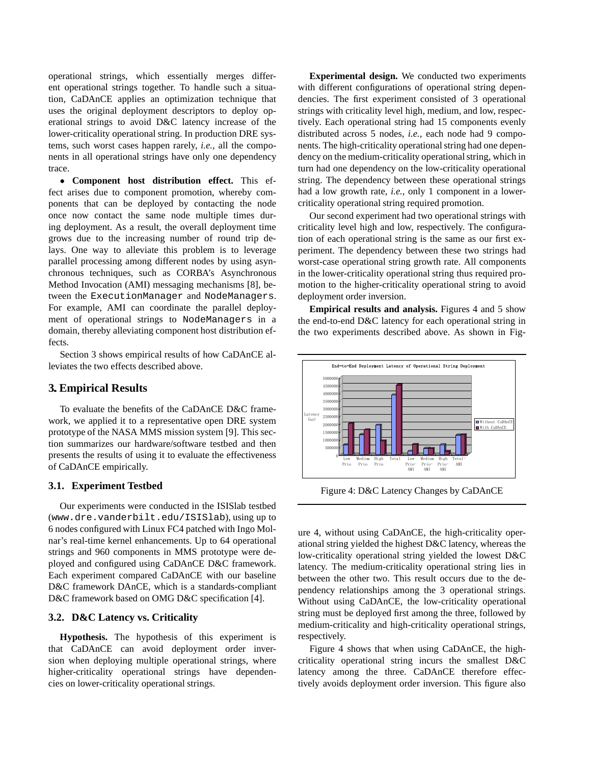operational strings, which essentially merges different operational strings together. To handle such a situation, CaDAnCE applies an optimization technique that uses the original deployment descriptors to deploy operational strings to avoid D&C latency increase of the lower-criticality operational string. In production DRE systems, such worst cases happen rarely, *i.e.*, all the components in all operational strings have only one dependency trace.

• **Component host distribution effect.** This effect arises due to component promotion, whereby components that can be deployed by contacting the node once now contact the same node multiple times during deployment. As a result, the overall deployment time grows due to the increasing number of round trip delays. One way to alleviate this problem is to leverage parallel processing among different nodes by using asynchronous techniques, such as CORBA's Asynchronous Method Invocation (AMI) messaging mechanisms [8], between the ExecutionManager and NodeManagers. For example, AMI can coordinate the parallel deployment of operational strings to NodeManagers in a domain, thereby alleviating component host distribution effects.

Section 3 shows empirical results of how CaDAnCE alleviates the two effects described above.

## **3. Empirical Results**

To evaluate the benefits of the CaDAnCE D&C framework, we applied it to a representative open DRE system prototype of the NASA MMS mission system [9]. This section summarizes our hardware/software testbed and then presents the results of using it to evaluate the effectiveness of CaDAnCE empirically.

#### **3.1. Experiment Testbed**

Our experiments were conducted in the ISISlab testbed (www.dre.vanderbilt.edu/ISISlab), using up to 6 nodes configured with Linux FC4 patched with Ingo Molnar's real-time kernel enhancements. Up to 64 operational strings and 960 components in MMS prototype were deployed and configured using CaDAnCE D&C framework. Each experiment compared CaDAnCE with our baseline D&C framework DAnCE, which is a standards-compliant D&C framework based on OMG D&C specification [4].

#### **3.2. D&C Latency vs. Criticality**

**Hypothesis.** The hypothesis of this experiment is that CaDAnCE can avoid deployment order inversion when deploying multiple operational strings, where higher-criticality operational strings have dependencies on lower-criticality operational strings.

**Experimental design.** We conducted two experiments with different configurations of operational string dependencies. The first experiment consisted of 3 operational strings with criticality level high, medium, and low, respectively. Each operational string had 15 components evenly distributed across 5 nodes, *i.e.*, each node had 9 components. The high-criticality operational string had one dependency on the medium-criticality operationalstring, which in turn had one dependency on the low-criticality operational string. The dependency between these operational strings had a low growth rate, *i.e.*, only 1 component in a lowercriticality operational string required promotion.

Our second experiment had two operational strings with criticality level high and low, respectively. The configuration of each operational string is the same as our first experiment. The dependency between these two strings had worst-case operational string growth rate. All components in the lower-criticality operational string thus required promotion to the higher-criticality operational string to avoid deployment order inversion.

**Empirical results and analysis.** Figures 4 and 5 show the end-to-end D&C latency for each operational string in the two experiments described above. As shown in Fig-



Figure 4: D&C Latency Changes by CaDAnCE

ure 4, without using CaDAnCE, the high-criticality operational string yielded the highest D&C latency, whereas the low-criticality operational string yielded the lowest D&C latency. The medium-criticality operational string lies in between the other two. This result occurs due to the dependency relationships among the 3 operational strings. Without using CaDAnCE, the low-criticality operational string must be deployed first among the three, followed by medium-criticality and high-criticality operational strings, respectively.

Figure 4 shows that when using CaDAnCE, the highcriticality operational string incurs the smallest D&C latency among the three. CaDAnCE therefore effectively avoids deployment order inversion. This figure also